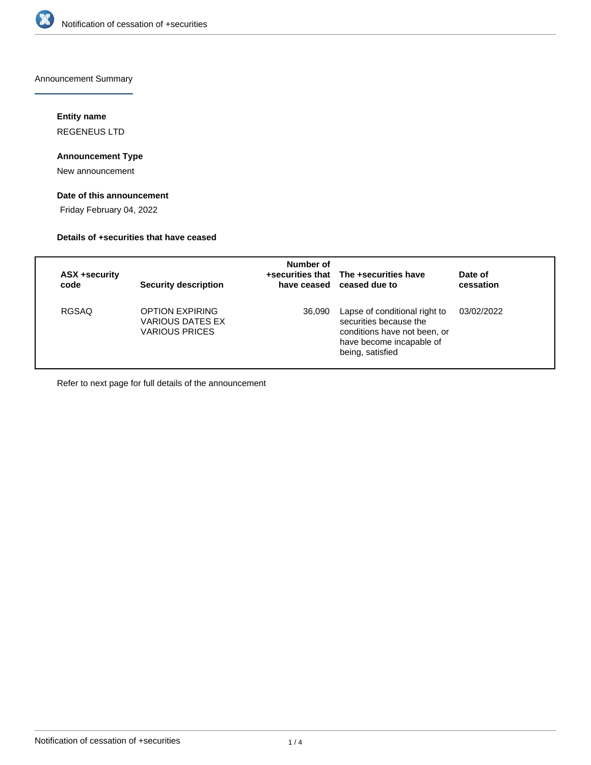

Announcement Summary

# **Entity name**

REGENEUS LTD

## **Announcement Type**

New announcement

# **Date of this announcement**

Friday February 04, 2022

## **Details of +securities that have ceased**

| ASX +security<br>code | <b>Security description</b>                                         | Number of | +securities that The +securities have<br>have ceased ceased due to                                                                      | Date of<br>cessation |
|-----------------------|---------------------------------------------------------------------|-----------|-----------------------------------------------------------------------------------------------------------------------------------------|----------------------|
| <b>RGSAQ</b>          | OPTION EXPIRING<br><b>VARIOUS DATES EX</b><br><b>VARIOUS PRICES</b> | 36,090    | Lapse of conditional right to<br>securities because the<br>conditions have not been, or<br>have become incapable of<br>being, satisfied | 03/02/2022           |

Refer to next page for full details of the announcement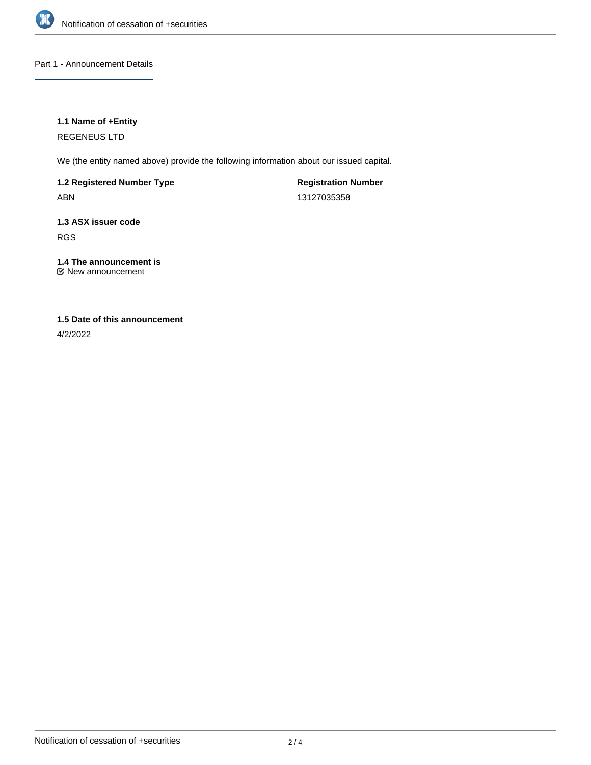

Part 1 - Announcement Details

## **1.1 Name of +Entity**

REGENEUS LTD

We (the entity named above) provide the following information about our issued capital.

**1.2 Registered Number Type**

ABN

**Registration Number** 13127035358

**1.3 ASX issuer code** RGS

#### **1.4 The announcement is** New announcement

# **1.5 Date of this announcement**

4/2/2022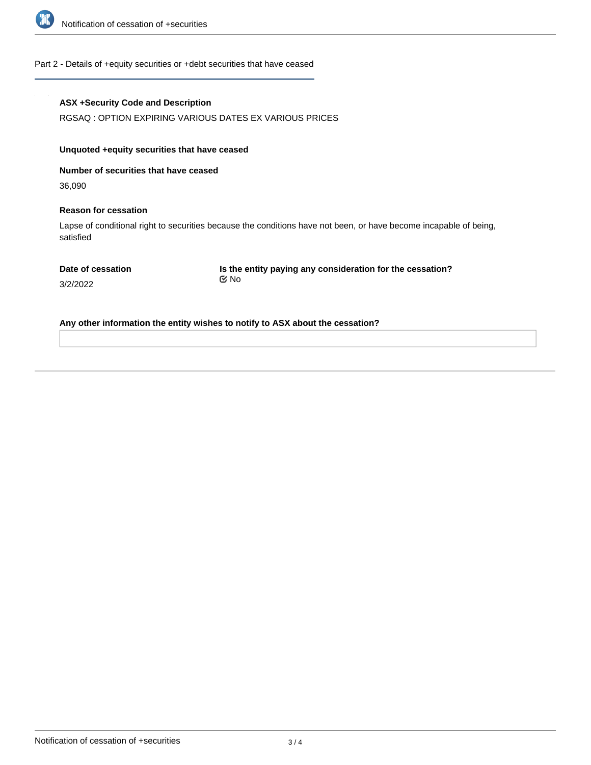

#### Part 2 - Details of +equity securities or +debt securities that have ceased

### **ASX +Security Code and Description**

RGSAQ : OPTION EXPIRING VARIOUS DATES EX VARIOUS PRICES

## **Unquoted +equity securities that have ceased**

**Number of securities that have ceased**

36,090

#### **Reason for cessation**

Lapse of conditional right to securities because the conditions have not been, or have become incapable of being, satisfied

|  | Date of cessation |
|--|-------------------|
|  |                   |

**Is the entity paying any consideration for the cessation?** No

3/2/2022

**Any other information the entity wishes to notify to ASX about the cessation?**